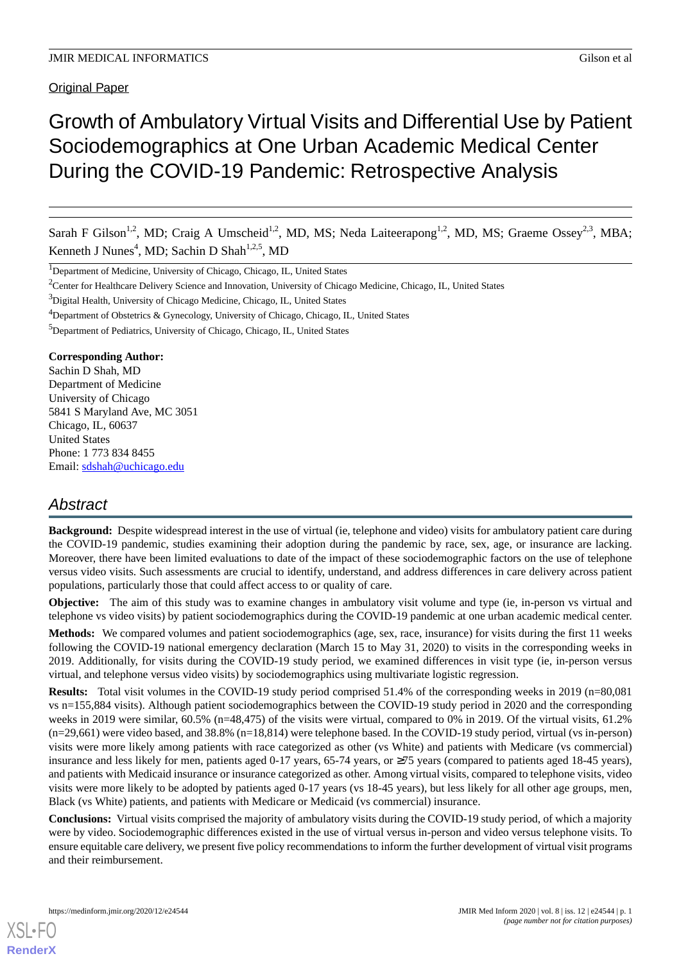**Original Paper** 

# Growth of Ambulatory Virtual Visits and Differential Use by Patient Sociodemographics at One Urban Academic Medical Center During the COVID-19 Pandemic: Retrospective Analysis

Sarah F Gilson<sup>1,2</sup>, MD; Craig A Umscheid<sup>1,2</sup>, MD, MS; Neda Laiteerapong<sup>1,2</sup>, MD, MS; Graeme Ossey<sup>2,3</sup>, MBA; Kenneth J Nunes<sup>4</sup>, MD; Sachin D Shah<sup>1,2,5</sup>, MD

<sup>1</sup>Department of Medicine, University of Chicago, Chicago, IL, United States

<sup>2</sup>Center for Healthcare Delivery Science and Innovation, University of Chicago Medicine, Chicago, IL, United States

<sup>3</sup>Digital Health, University of Chicago Medicine, Chicago, IL, United States

<sup>4</sup>Department of Obstetrics & Gynecology, University of Chicago, Chicago, IL, United States

<sup>5</sup>Department of Pediatrics, University of Chicago, Chicago, IL, United States

**Corresponding Author:**

Sachin D Shah, MD Department of Medicine University of Chicago 5841 S Maryland Ave, MC 3051 Chicago, IL, 60637 United States Phone: 1 773 834 8455 Email: [sdshah@uchicago.edu](mailto:sdshah@uchicago.edu)

# *Abstract*

Background: Despite widespread interest in the use of virtual (ie, telephone and video) visits for ambulatory patient care during the COVID-19 pandemic, studies examining their adoption during the pandemic by race, sex, age, or insurance are lacking. Moreover, there have been limited evaluations to date of the impact of these sociodemographic factors on the use of telephone versus video visits. Such assessments are crucial to identify, understand, and address differences in care delivery across patient populations, particularly those that could affect access to or quality of care.

**Objective:** The aim of this study was to examine changes in ambulatory visit volume and type (ie, in-person vs virtual and telephone vs video visits) by patient sociodemographics during the COVID-19 pandemic at one urban academic medical center.

**Methods:** We compared volumes and patient sociodemographics (age, sex, race, insurance) for visits during the first 11 weeks following the COVID-19 national emergency declaration (March 15 to May 31, 2020) to visits in the corresponding weeks in 2019. Additionally, for visits during the COVID-19 study period, we examined differences in visit type (ie, in-person versus virtual, and telephone versus video visits) by sociodemographics using multivariate logistic regression.

**Results:** Total visit volumes in the COVID-19 study period comprised 51.4% of the corresponding weeks in 2019 (n=80,081 vs n=155,884 visits). Although patient sociodemographics between the COVID-19 study period in 2020 and the corresponding weeks in 2019 were similar, 60.5% (n=48,475) of the visits were virtual, compared to 0% in 2019. Of the virtual visits, 61.2%  $(n=29,661)$  were video based, and 38.8%  $(n=18,814)$  were telephone based. In the COVID-19 study period, virtual (vs in-person) visits were more likely among patients with race categorized as other (vs White) and patients with Medicare (vs commercial) insurance and less likely for men, patients aged 0-17 years, 65-74 years, or ≥75 years (compared to patients aged 18-45 years), and patients with Medicaid insurance or insurance categorized as other. Among virtual visits, compared to telephone visits, video visits were more likely to be adopted by patients aged 0-17 years (vs 18-45 years), but less likely for all other age groups, men, Black (vs White) patients, and patients with Medicare or Medicaid (vs commercial) insurance.

**Conclusions:** Virtual visits comprised the majority of ambulatory visits during the COVID-19 study period, of which a majority were by video. Sociodemographic differences existed in the use of virtual versus in-person and video versus telephone visits. To ensure equitable care delivery, we present five policy recommendations to inform the further development of virtual visit programs and their reimbursement.

[XSL](http://www.w3.org/Style/XSL)•FO **[RenderX](http://www.renderx.com/)**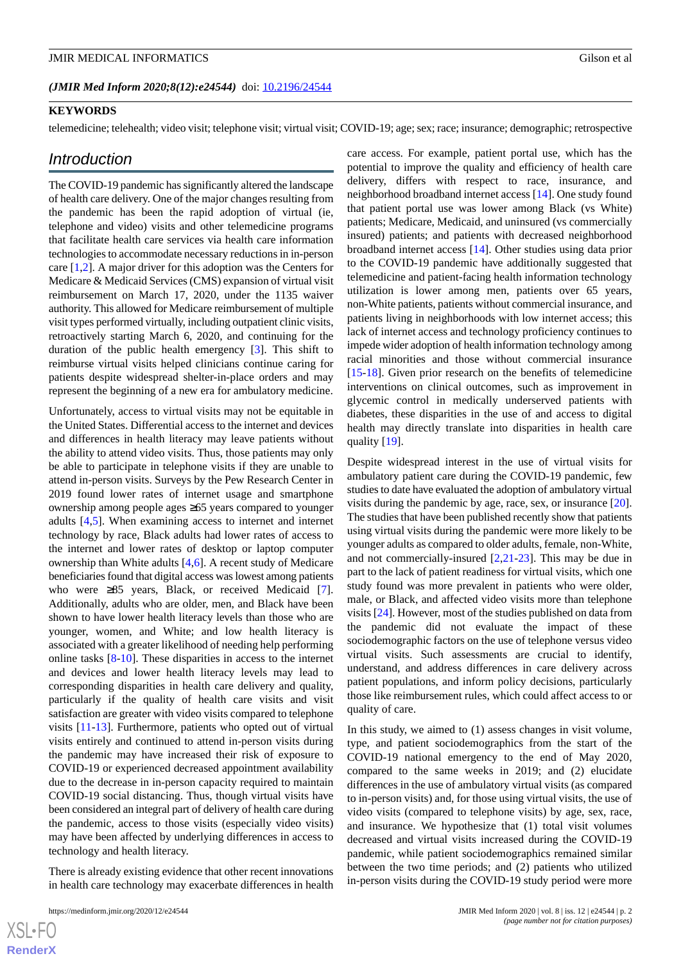#### **KEYWORDS**

telemedicine; telehealth; video visit; telephone visit; virtual visit; COVID-19; age; sex; race; insurance; demographic; retrospective

#### *Introduction*

The COVID-19 pandemic has significantly altered the landscape of health care delivery. One of the major changes resulting from the pandemic has been the rapid adoption of virtual (ie, telephone and video) visits and other telemedicine programs that facilitate health care services via health care information technologies to accommodate necessary reductions in in-person care [[1](#page-7-0)[,2](#page-7-1)]. A major driver for this adoption was the Centers for Medicare & Medicaid Services (CMS) expansion of virtual visit reimbursement on March 17, 2020, under the 1135 waiver authority. This allowed for Medicare reimbursement of multiple visit types performed virtually, including outpatient clinic visits, retroactively starting March 6, 2020, and continuing for the duration of the public health emergency [\[3\]](#page-7-2). This shift to reimburse virtual visits helped clinicians continue caring for patients despite widespread shelter-in-place orders and may represent the beginning of a new era for ambulatory medicine.

Unfortunately, access to virtual visits may not be equitable in the United States. Differential access to the internet and devices and differences in health literacy may leave patients without the ability to attend video visits. Thus, those patients may only be able to participate in telephone visits if they are unable to attend in-person visits. Surveys by the Pew Research Center in 2019 found lower rates of internet usage and smartphone ownership among people ages ≥65 years compared to younger adults [\[4](#page-7-3),[5\]](#page-7-4). When examining access to internet and internet technology by race, Black adults had lower rates of access to the internet and lower rates of desktop or laptop computer ownership than White adults [\[4](#page-7-3),[6\]](#page-7-5). A recent study of Medicare beneficiaries found that digital access was lowest among patients who were  $\geq 85$  years, Black, or received Medicaid [[7\]](#page-7-6). Additionally, adults who are older, men, and Black have been shown to have lower health literacy levels than those who are younger, women, and White; and low health literacy is associated with a greater likelihood of needing help performing online tasks [\[8](#page-7-7)[-10](#page-7-8)]. These disparities in access to the internet and devices and lower health literacy levels may lead to corresponding disparities in health care delivery and quality, particularly if the quality of health care visits and visit satisfaction are greater with video visits compared to telephone visits [\[11](#page-7-9)-[13\]](#page-7-10). Furthermore, patients who opted out of virtual visits entirely and continued to attend in-person visits during the pandemic may have increased their risk of exposure to COVID-19 or experienced decreased appointment availability due to the decrease in in-person capacity required to maintain COVID-19 social distancing. Thus, though virtual visits have been considered an integral part of delivery of health care during the pandemic, access to those visits (especially video visits) may have been affected by underlying differences in access to technology and health literacy.

There is already existing evidence that other recent innovations in health care technology may exacerbate differences in health

 $XSI - F($ **[RenderX](http://www.renderx.com/)** care access. For example, patient portal use, which has the potential to improve the quality and efficiency of health care delivery, differs with respect to race, insurance, and neighborhood broadband internet access [\[14](#page-7-11)]. One study found that patient portal use was lower among Black (vs White) patients; Medicare, Medicaid, and uninsured (vs commercially insured) patients; and patients with decreased neighborhood broadband internet access [\[14](#page-7-11)]. Other studies using data prior to the COVID-19 pandemic have additionally suggested that telemedicine and patient-facing health information technology utilization is lower among men, patients over 65 years, non-White patients, patients without commercial insurance, and patients living in neighborhoods with low internet access; this lack of internet access and technology proficiency continues to impede wider adoption of health information technology among racial minorities and those without commercial insurance [[15](#page-8-0)[-18](#page-8-1)]. Given prior research on the benefits of telemedicine interventions on clinical outcomes, such as improvement in glycemic control in medically underserved patients with diabetes, these disparities in the use of and access to digital health may directly translate into disparities in health care quality [\[19](#page-8-2)].

Despite widespread interest in the use of virtual visits for ambulatory patient care during the COVID-19 pandemic, few studies to date have evaluated the adoption of ambulatory virtual visits during the pandemic by age, race, sex, or insurance [[20\]](#page-8-3). The studies that have been published recently show that patients using virtual visits during the pandemic were more likely to be younger adults as compared to older adults, female, non-White, and not commercially-insured [\[2](#page-7-1),[21-](#page-8-4)[23](#page-8-5)]. This may be due in part to the lack of patient readiness for virtual visits, which one study found was more prevalent in patients who were older, male, or Black, and affected video visits more than telephone visits [[24\]](#page-8-6). However, most of the studies published on data from the pandemic did not evaluate the impact of these sociodemographic factors on the use of telephone versus video virtual visits. Such assessments are crucial to identify, understand, and address differences in care delivery across patient populations, and inform policy decisions, particularly those like reimbursement rules, which could affect access to or quality of care.

In this study, we aimed to (1) assess changes in visit volume, type, and patient sociodemographics from the start of the COVID-19 national emergency to the end of May 2020, compared to the same weeks in 2019; and (2) elucidate differences in the use of ambulatory virtual visits (as compared to in-person visits) and, for those using virtual visits, the use of video visits (compared to telephone visits) by age, sex, race, and insurance. We hypothesize that (1) total visit volumes decreased and virtual visits increased during the COVID-19 pandemic, while patient sociodemographics remained similar between the two time periods; and (2) patients who utilized in-person visits during the COVID-19 study period were more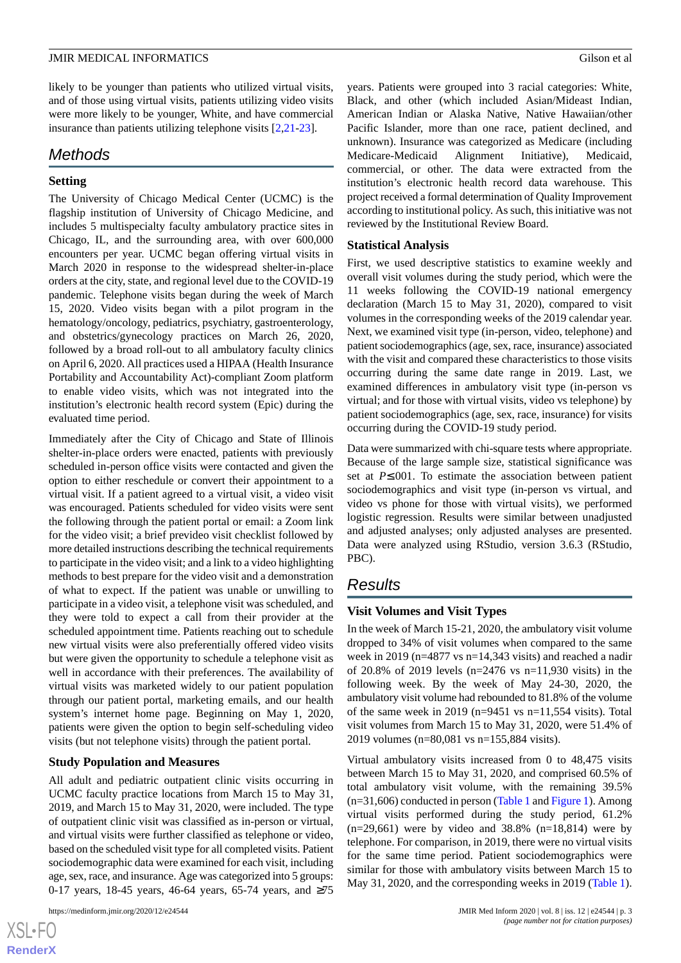likely to be younger than patients who utilized virtual visits, and of those using virtual visits, patients utilizing video visits were more likely to be younger, White, and have commercial insurance than patients utilizing telephone visits [[2](#page-7-1)[,21](#page-8-4)-[23\]](#page-8-5).

# *Methods*

# **Setting**

The University of Chicago Medical Center (UCMC) is the flagship institution of University of Chicago Medicine, and includes 5 multispecialty faculty ambulatory practice sites in Chicago, IL, and the surrounding area, with over 600,000 encounters per year. UCMC began offering virtual visits in March 2020 in response to the widespread shelter-in-place orders at the city, state, and regional level due to the COVID-19 pandemic. Telephone visits began during the week of March 15, 2020. Video visits began with a pilot program in the hematology/oncology, pediatrics, psychiatry, gastroenterology, and obstetrics/gynecology practices on March 26, 2020, followed by a broad roll-out to all ambulatory faculty clinics on April 6, 2020. All practices used a HIPAA (Health Insurance Portability and Accountability Act)-compliant Zoom platform to enable video visits, which was not integrated into the institution's electronic health record system (Epic) during the evaluated time period.

Immediately after the City of Chicago and State of Illinois shelter-in-place orders were enacted, patients with previously scheduled in-person office visits were contacted and given the option to either reschedule or convert their appointment to a virtual visit. If a patient agreed to a virtual visit, a video visit was encouraged. Patients scheduled for video visits were sent the following through the patient portal or email: a Zoom link for the video visit; a brief prevideo visit checklist followed by more detailed instructions describing the technical requirements to participate in the video visit; and a link to a video highlighting methods to best prepare for the video visit and a demonstration of what to expect. If the patient was unable or unwilling to participate in a video visit, a telephone visit was scheduled, and they were told to expect a call from their provider at the scheduled appointment time. Patients reaching out to schedule new virtual visits were also preferentially offered video visits but were given the opportunity to schedule a telephone visit as well in accordance with their preferences. The availability of virtual visits was marketed widely to our patient population through our patient portal, marketing emails, and our health system's internet home page. Beginning on May 1, 2020, patients were given the option to begin self-scheduling video visits (but not telephone visits) through the patient portal.

# **Study Population and Measures**

All adult and pediatric outpatient clinic visits occurring in UCMC faculty practice locations from March 15 to May 31, 2019, and March 15 to May 31, 2020, were included. The type of outpatient clinic visit was classified as in-person or virtual, and virtual visits were further classified as telephone or video, based on the scheduled visit type for all completed visits. Patient sociodemographic data were examined for each visit, including age, sex, race, and insurance. Age was categorized into 5 groups: 0-17 years, 18-45 years, 46-64 years, 65-74 years, and ≥75

 $XS$  • FC **[RenderX](http://www.renderx.com/)** years. Patients were grouped into 3 racial categories: White, Black, and other (which included Asian/Mideast Indian, American Indian or Alaska Native, Native Hawaiian/other Pacific Islander, more than one race, patient declined, and unknown). Insurance was categorized as Medicare (including Medicare-Medicaid Alignment Initiative), Medicaid, commercial, or other. The data were extracted from the institution's electronic health record data warehouse. This project received a formal determination of Quality Improvement according to institutional policy. As such, this initiative was not reviewed by the Institutional Review Board.

# **Statistical Analysis**

First, we used descriptive statistics to examine weekly and overall visit volumes during the study period, which were the 11 weeks following the COVID-19 national emergency declaration (March 15 to May 31, 2020), compared to visit volumes in the corresponding weeks of the 2019 calendar year. Next, we examined visit type (in-person, video, telephone) and patient sociodemographics (age, sex, race, insurance) associated with the visit and compared these characteristics to those visits occurring during the same date range in 2019. Last, we examined differences in ambulatory visit type (in-person vs virtual; and for those with virtual visits, video vs telephone) by patient sociodemographics (age, sex, race, insurance) for visits occurring during the COVID-19 study period.

Data were summarized with chi-square tests where appropriate. Because of the large sample size, statistical significance was set at *P*≤.001. To estimate the association between patient sociodemographics and visit type (in-person vs virtual, and video vs phone for those with virtual visits), we performed logistic regression. Results were similar between unadjusted and adjusted analyses; only adjusted analyses are presented. Data were analyzed using RStudio, version 3.6.3 (RStudio, PBC).

# *Results*

# **Visit Volumes and Visit Types**

In the week of March 15-21, 2020, the ambulatory visit volume dropped to 34% of visit volumes when compared to the same week in 2019 (n=4877 vs n=14,343 visits) and reached a nadir of 20.8% of 2019 levels (n=2476 vs n=11,930 visits) in the following week. By the week of May 24-30, 2020, the ambulatory visit volume had rebounded to 81.8% of the volume of the same week in 2019 (n=9451 vs n=11,554 visits). Total visit volumes from March 15 to May 31, 2020, were 51.4% of 2019 volumes (n=80,081 vs n=155,884 visits).

Virtual ambulatory visits increased from 0 to 48,475 visits between March 15 to May 31, 2020, and comprised 60.5% of total ambulatory visit volume, with the remaining 39.5%  $(n=31,606)$  conducted in person ([Table 1](#page-3-0) and [Figure 1](#page-4-0)). Among virtual visits performed during the study period, 61.2%  $(n=29,661)$  were by video and 38.8%  $(n=18,814)$  were by telephone. For comparison, in 2019, there were no virtual visits for the same time period. Patient sociodemographics were similar for those with ambulatory visits between March 15 to May 31, 2020, and the corresponding weeks in 2019 ([Table 1\)](#page-3-0).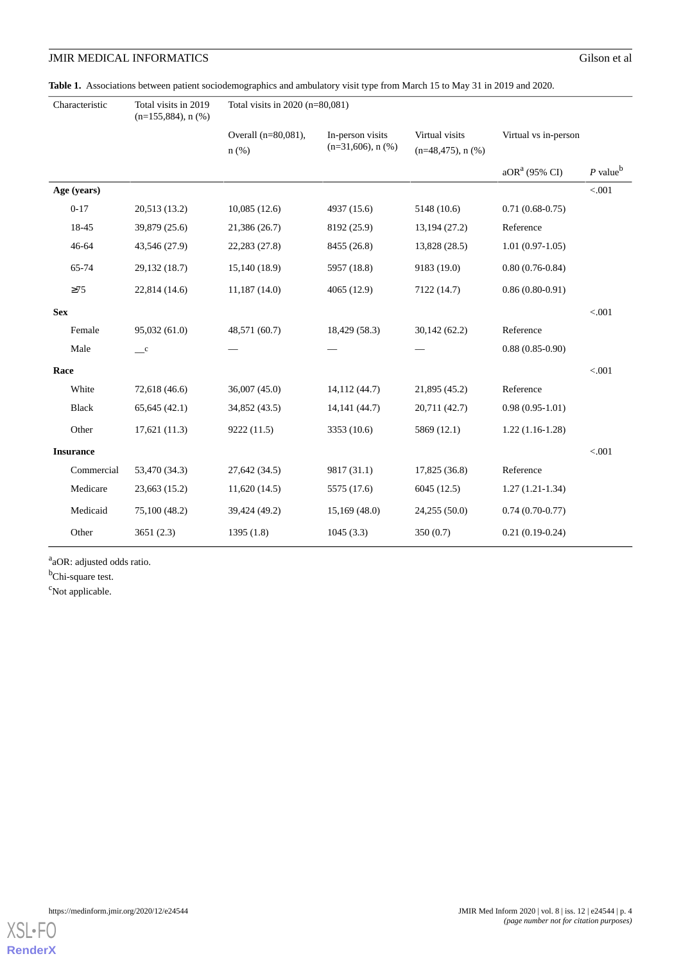<span id="page-3-0"></span>**Table 1.** Associations between patient sociodemographics and ambulatory visit type from March 15 to May 31 in 2019 and 2020.

| Characteristic   | Total visits in 2019<br>$(n=155,884)$ , n $(\% )$ | Total visits in 2020 (n=80,081) |                                              |                                           |                      |                        |  |
|------------------|---------------------------------------------------|---------------------------------|----------------------------------------------|-------------------------------------------|----------------------|------------------------|--|
|                  |                                                   | Overall (n=80,081),<br>$n(\%)$  | In-person visits<br>$(n=31,606)$ , n $(\% )$ | Virtual visits<br>$(n=48,475)$ , n $(\%)$ | Virtual vs in-person |                        |  |
|                  |                                                   |                                 |                                              |                                           | $aORa$ (95% CI)      | $P$ value <sup>b</sup> |  |
| Age (years)      |                                                   |                                 |                                              |                                           |                      | $< 001$                |  |
| $0 - 17$         | 20,513 (13.2)                                     | 10,085(12.6)                    | 4937 (15.6)                                  | 5148 (10.6)                               | $0.71(0.68-0.75)$    |                        |  |
| 18-45            | 39,879 (25.6)                                     | 21,386 (26.7)                   | 8192 (25.9)                                  | 13,194 (27.2)                             | Reference            |                        |  |
| $46 - 64$        | 43,546 (27.9)                                     | 22,283 (27.8)                   | 8455 (26.8)                                  | 13,828 (28.5)                             | $1.01(0.97-1.05)$    |                        |  |
| 65-74            | 29,132 (18.7)                                     | 15,140 (18.9)                   | 5957 (18.8)                                  | 9183 (19.0)                               | $0.80(0.76-0.84)$    |                        |  |
| $\geq$ 75        | 22,814 (14.6)                                     | 11,187(14.0)                    | 4065 (12.9)                                  | 7122 (14.7)                               | $0.86(0.80-0.91)$    |                        |  |
| <b>Sex</b>       |                                                   |                                 |                                              |                                           |                      | < .001                 |  |
| Female           | 95,032 (61.0)                                     | 48,571 (60.7)                   | 18,429 (58.3)                                | 30,142(62.2)                              | Reference            |                        |  |
| Male             | $\mathbf{C}$                                      |                                 |                                              |                                           | $0.88(0.85-0.90)$    |                        |  |
| Race             |                                                   |                                 |                                              |                                           |                      | < .001                 |  |
| White            | 72,618 (46.6)                                     | 36,007 (45.0)                   | 14,112 (44.7)                                | 21,895 (45.2)                             | Reference            |                        |  |
| Black            | 65,645(42.1)                                      | 34,852 (43.5)                   | 14,141 (44.7)                                | 20,711 (42.7)                             | $0.98(0.95-1.01)$    |                        |  |
| Other            | 17,621(11.3)                                      | 9222 (11.5)                     | 3353 (10.6)                                  | 5869 (12.1)                               | $1.22(1.16-1.28)$    |                        |  |
| <b>Insurance</b> |                                                   |                                 |                                              |                                           |                      | < .001                 |  |
| Commercial       | 53,470 (34.3)                                     | 27,642 (34.5)                   | 9817 (31.1)                                  | 17,825 (36.8)                             | Reference            |                        |  |
| Medicare         | 23,663 (15.2)                                     | 11,620(14.5)                    | 5575 (17.6)                                  | 6045(12.5)                                | $1.27(1.21-1.34)$    |                        |  |
| Medicaid         | 75,100 (48.2)                                     | 39,424 (49.2)                   | 15,169(48.0)                                 | 24,255 (50.0)                             | $0.74(0.70-0.77)$    |                        |  |
| Other            | 3651(2.3)                                         | 1395(1.8)                       | 1045(3.3)                                    | 350(0.7)                                  | $0.21(0.19-0.24)$    |                        |  |

a<sub>a</sub>OR: adjusted odds ratio.

<sup>b</sup>Chi-square test.

<sup>c</sup>Not applicable.

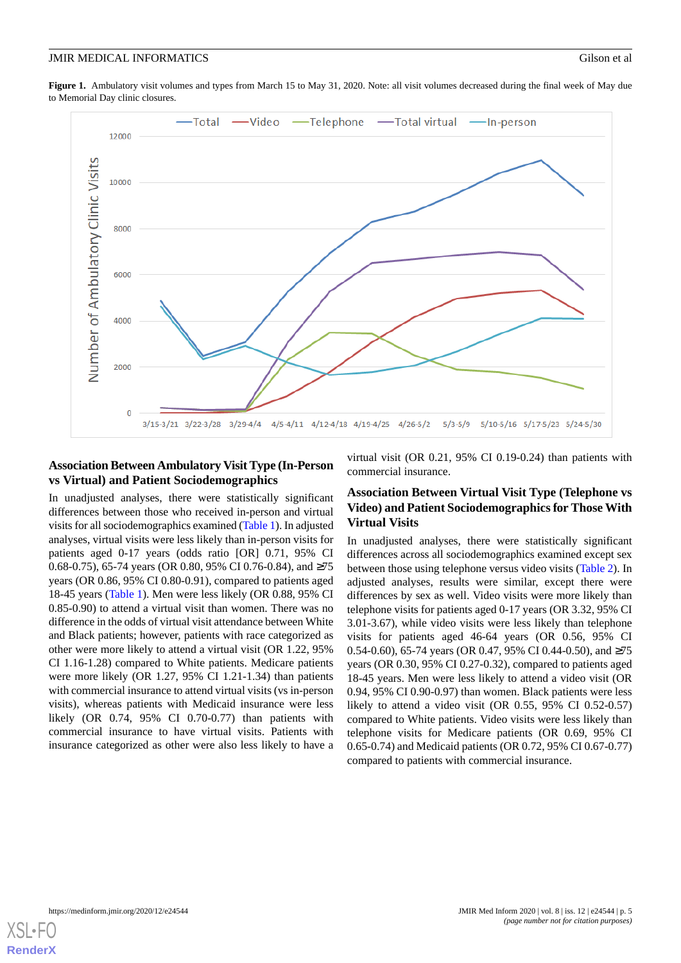<span id="page-4-0"></span>Figure 1. Ambulatory visit volumes and types from March 15 to May 31, 2020. Note: all visit volumes decreased during the final week of May due to Memorial Day clinic closures.



# **Association Between Ambulatory Visit Type (In-Person vs Virtual) and Patient Sociodemographics**

In unadjusted analyses, there were statistically significant differences between those who received in-person and virtual visits for all sociodemographics examined [\(Table 1\)](#page-3-0). In adjusted analyses, virtual visits were less likely than in-person visits for patients aged 0-17 years (odds ratio [OR] 0.71, 95% CI 0.68-0.75), 65-74 years (OR 0.80, 95% CI 0.76-0.84), and ≥75 years (OR 0.86, 95% CI 0.80-0.91), compared to patients aged 18-45 years [\(Table 1\)](#page-3-0). Men were less likely (OR 0.88, 95% CI 0.85-0.90) to attend a virtual visit than women. There was no difference in the odds of virtual visit attendance between White and Black patients; however, patients with race categorized as other were more likely to attend a virtual visit (OR 1.22, 95% CI 1.16-1.28) compared to White patients. Medicare patients were more likely (OR 1.27, 95% CI 1.21-1.34) than patients with commercial insurance to attend virtual visits (vs in-person visits), whereas patients with Medicaid insurance were less likely (OR 0.74, 95% CI 0.70-0.77) than patients with commercial insurance to have virtual visits. Patients with insurance categorized as other were also less likely to have a

virtual visit (OR 0.21, 95% CI 0.19-0.24) than patients with commercial insurance.

# **Association Between Virtual Visit Type (Telephone vs Video) and Patient Sociodemographics for Those With Virtual Visits**

In unadjusted analyses, there were statistically significant differences across all sociodemographics examined except sex between those using telephone versus video visits ([Table 2](#page-5-0)). In adjusted analyses, results were similar, except there were differences by sex as well. Video visits were more likely than telephone visits for patients aged 0-17 years (OR 3.32, 95% CI 3.01-3.67), while video visits were less likely than telephone visits for patients aged 46-64 years (OR 0.56, 95% CI 0.54-0.60), 65-74 years (OR 0.47, 95% CI 0.44-0.50), and ≥75 years (OR 0.30, 95% CI 0.27-0.32), compared to patients aged 18-45 years. Men were less likely to attend a video visit (OR 0.94, 95% CI 0.90-0.97) than women. Black patients were less likely to attend a video visit (OR 0.55, 95% CI 0.52-0.57) compared to White patients. Video visits were less likely than telephone visits for Medicare patients (OR 0.69, 95% CI 0.65-0.74) and Medicaid patients (OR 0.72, 95% CI 0.67-0.77) compared to patients with commercial insurance.

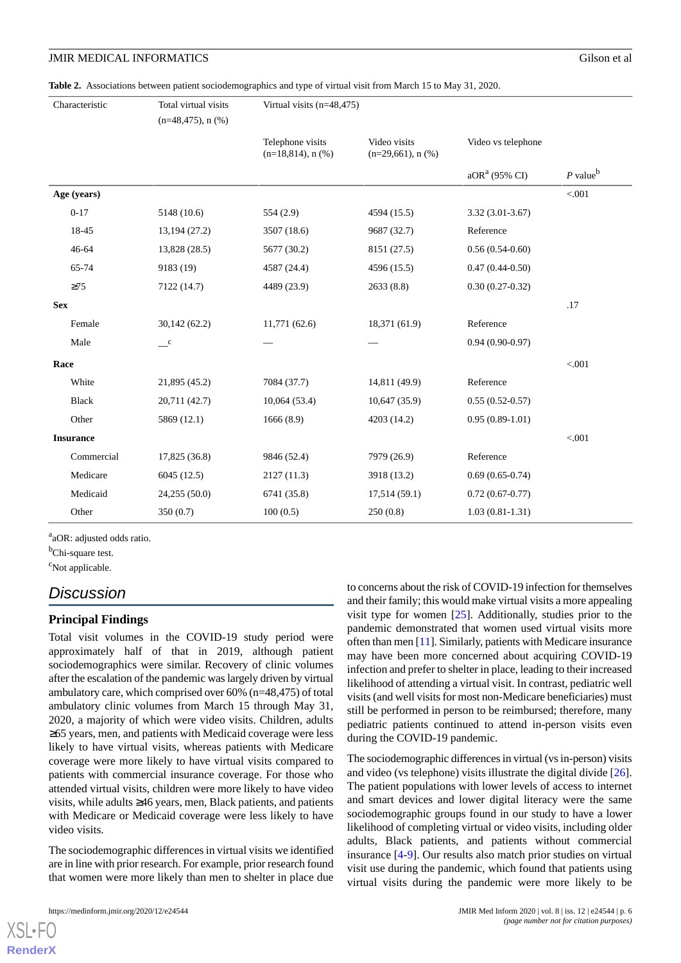<span id="page-5-0"></span>**Table 2.** Associations between patient sociodemographics and type of virtual visit from March 15 to May 31, 2020.

|                  | Characteristic | Total virtual visits<br>$(n=48,475)$ , n $(\%)$ | Virtual visits (n=48,475)                   |                                         |                    |                        |
|------------------|----------------|-------------------------------------------------|---------------------------------------------|-----------------------------------------|--------------------|------------------------|
|                  |                |                                                 | Telephone visits<br>$(n=18,814)$ , n $(\%)$ | Video visits<br>$(n=29,661)$ , n $(\%)$ | Video vs telephone |                        |
|                  |                |                                                 |                                             |                                         | $aORa$ (95% CI)    | $P$ value <sup>b</sup> |
|                  | Age (years)    |                                                 |                                             |                                         |                    | < .001                 |
|                  | $0 - 17$       | 5148 (10.6)                                     | 554(2.9)                                    | 4594 (15.5)                             | $3.32(3.01-3.67)$  |                        |
|                  | 18-45          | 13,194 (27.2)                                   | 3507 (18.6)                                 | 9687 (32.7)                             | Reference          |                        |
|                  | 46-64          | 13,828 (28.5)                                   | 5677 (30.2)                                 | 8151 (27.5)                             | $0.56(0.54-0.60)$  |                        |
|                  | 65-74          | 9183 (19)                                       | 4587 (24.4)                                 | 4596 (15.5)                             | $0.47(0.44-0.50)$  |                        |
|                  | $\geq 75$      | 7122 (14.7)                                     | 4489 (23.9)                                 | 2633 (8.8)                              | $0.30(0.27-0.32)$  |                        |
| <b>Sex</b>       |                |                                                 |                                             |                                         |                    | .17                    |
|                  | Female         | 30,142 (62.2)                                   | 11,771(62.6)                                | 18,371 (61.9)                           | Reference          |                        |
|                  | Male           | $\mathbf{C}$                                    |                                             |                                         | $0.94(0.90-0.97)$  |                        |
| Race             |                |                                                 |                                             |                                         |                    | $< 001$                |
|                  | White          | 21,895 (45.2)                                   | 7084 (37.7)                                 | 14,811 (49.9)                           | Reference          |                        |
|                  | <b>Black</b>   | 20,711 (42.7)                                   | 10,064(53.4)                                | 10,647(35.9)                            | $0.55(0.52-0.57)$  |                        |
|                  | Other          | 5869 (12.1)                                     | 1666(8.9)                                   | 4203 (14.2)                             | $0.95(0.89-1.01)$  |                        |
| <b>Insurance</b> |                |                                                 |                                             |                                         |                    | < .001                 |
|                  | Commercial     | 17,825 (36.8)                                   | 9846 (52.4)                                 | 7979 (26.9)                             | Reference          |                        |
|                  | Medicare       | 6045(12.5)                                      | 2127 (11.3)                                 | 3918 (13.2)                             | $0.69(0.65-0.74)$  |                        |
|                  | Medicaid       | 24,255 (50.0)                                   | 6741 (35.8)                                 | 17,514(59.1)                            | $0.72(0.67-0.77)$  |                        |
|                  | Other          | 350(0.7)                                        | 100(0.5)                                    | 250(0.8)                                | $1.03(0.81-1.31)$  |                        |

a<sub>a</sub>OR: adjusted odds ratio.

<sup>b</sup>Chi-square test.

<sup>c</sup>Not applicable.

# *Discussion*

# **Principal Findings**

Total visit volumes in the COVID-19 study period were approximately half of that in 2019, although patient sociodemographics were similar. Recovery of clinic volumes after the escalation of the pandemic was largely driven by virtual ambulatory care, which comprised over 60% (n=48,475) of total ambulatory clinic volumes from March 15 through May 31, 2020, a majority of which were video visits. Children, adults ≥65 years, men, and patients with Medicaid coverage were less likely to have virtual visits, whereas patients with Medicare coverage were more likely to have virtual visits compared to patients with commercial insurance coverage. For those who attended virtual visits, children were more likely to have video visits, while adults ≥46 years, men, Black patients, and patients with Medicare or Medicaid coverage were less likely to have video visits.

The sociodemographic differences in virtual visits we identified are in line with prior research. For example, prior research found that women were more likely than men to shelter in place due to concerns about the risk of COVID-19 infection for themselves and their family; this would make virtual visits a more appealing visit type for women  $[25]$  $[25]$ . Additionally, studies prior to the pandemic demonstrated that women used virtual visits more often than men [[11](#page-7-9)]. Similarly, patients with Medicare insurance may have been more concerned about acquiring COVID-19 infection and prefer to shelter in place, leading to their increased likelihood of attending a virtual visit. In contrast, pediatric well visits (and well visits for most non-Medicare beneficiaries) must still be performed in person to be reimbursed; therefore, many pediatric patients continued to attend in-person visits even during the COVID-19 pandemic.

The sociodemographic differences in virtual (vs in-person) visits and video (vs telephone) visits illustrate the digital divide [[26\]](#page-8-8). The patient populations with lower levels of access to internet and smart devices and lower digital literacy were the same sociodemographic groups found in our study to have a lower likelihood of completing virtual or video visits, including older adults, Black patients, and patients without commercial insurance [[4-](#page-7-3)[9](#page-7-12)]. Our results also match prior studies on virtual visit use during the pandemic, which found that patients using virtual visits during the pandemic were more likely to be

[XSL](http://www.w3.org/Style/XSL)•FO **[RenderX](http://www.renderx.com/)**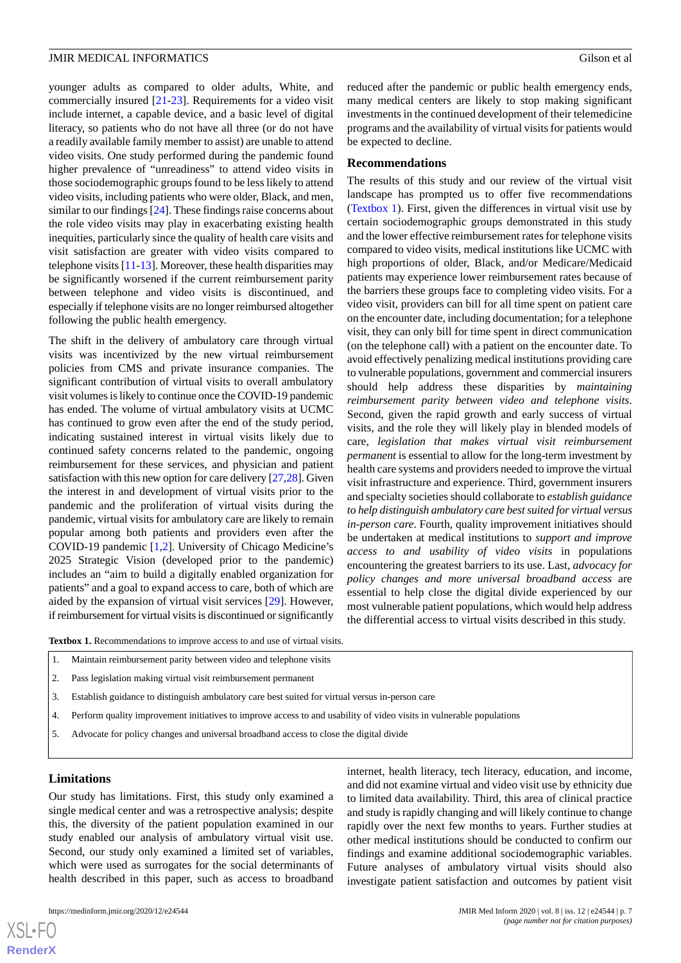younger adults as compared to older adults, White, and commercially insured [\[21](#page-8-4)-[23\]](#page-8-5). Requirements for a video visit include internet, a capable device, and a basic level of digital literacy, so patients who do not have all three (or do not have a readily available family member to assist) are unable to attend video visits. One study performed during the pandemic found higher prevalence of "unreadiness" to attend video visits in those sociodemographic groups found to be less likely to attend video visits, including patients who were older, Black, and men, similar to our findings [\[24](#page-8-6)]. These findings raise concerns about the role video visits may play in exacerbating existing health inequities, particularly since the quality of health care visits and visit satisfaction are greater with video visits compared to telephone visits [\[11](#page-7-9)[-13](#page-7-10)]. Moreover, these health disparities may be significantly worsened if the current reimbursement parity between telephone and video visits is discontinued, and especially if telephone visits are no longer reimbursed altogether following the public health emergency.

The shift in the delivery of ambulatory care through virtual visits was incentivized by the new virtual reimbursement policies from CMS and private insurance companies. The significant contribution of virtual visits to overall ambulatory visit volumes is likely to continue once the COVID-19 pandemic has ended. The volume of virtual ambulatory visits at UCMC has continued to grow even after the end of the study period, indicating sustained interest in virtual visits likely due to continued safety concerns related to the pandemic, ongoing reimbursement for these services, and physician and patient satisfaction with this new option for care delivery [\[27](#page-8-9)[,28](#page-8-10)]. Given the interest in and development of virtual visits prior to the pandemic and the proliferation of virtual visits during the pandemic, virtual visits for ambulatory care are likely to remain popular among both patients and providers even after the COVID-19 pandemic [[1,](#page-7-0)[2](#page-7-1)]. University of Chicago Medicine's 2025 Strategic Vision (developed prior to the pandemic) includes an "aim to build a digitally enabled organization for patients" and a goal to expand access to care, both of which are aided by the expansion of virtual visit services [\[29](#page-8-11)]. However, if reimbursement for virtual visits is discontinued or significantly

reduced after the pandemic or public health emergency ends, many medical centers are likely to stop making significant investments in the continued development of their telemedicine programs and the availability of virtual visits for patients would be expected to decline.

#### **Recommendations**

The results of this study and our review of the virtual visit landscape has prompted us to offer five recommendations ([Textbox 1](#page-6-0)). First, given the differences in virtual visit use by certain sociodemographic groups demonstrated in this study and the lower effective reimbursement rates for telephone visits compared to video visits, medical institutions like UCMC with high proportions of older, Black, and/or Medicare/Medicaid patients may experience lower reimbursement rates because of the barriers these groups face to completing video visits. For a video visit, providers can bill for all time spent on patient care on the encounter date, including documentation; for a telephone visit, they can only bill for time spent in direct communication (on the telephone call) with a patient on the encounter date. To avoid effectively penalizing medical institutions providing care to vulnerable populations, government and commercial insurers should help address these disparities by *maintaining reimbursement parity between video and telephone visits*. Second, given the rapid growth and early success of virtual visits, and the role they will likely play in blended models of care, *legislation that makes virtual visit reimbursement permanent* is essential to allow for the long-term investment by health care systems and providers needed to improve the virtual visit infrastructure and experience. Third, government insurers and specialty societies should collaborate to *establish guidance to help distinguish ambulatory care best suited for virtual versus in-person care*. Fourth, quality improvement initiatives should be undertaken at medical institutions to *support and improve access to and usability of video visits* in populations encountering the greatest barriers to its use. Last, *advocacy for policy changes and more universal broadband access* are essential to help close the digital divide experienced by our most vulnerable patient populations, which would help address the differential access to virtual visits described in this study.

<span id="page-6-0"></span>**Textbox 1.** Recommendations to improve access to and use of virtual visits.

- 1. Maintain reimbursement parity between video and telephone visits
- 2. Pass legislation making virtual visit reimbursement permanent
- 3. Establish guidance to distinguish ambulatory care best suited for virtual versus in-person care
- 4. Perform quality improvement initiatives to improve access to and usability of video visits in vulnerable populations
- 5. Advocate for policy changes and universal broadband access to close the digital divide

#### **Limitations**

Our study has limitations. First, this study only examined a single medical center and was a retrospective analysis; despite this, the diversity of the patient population examined in our study enabled our analysis of ambulatory virtual visit use. Second, our study only examined a limited set of variables, which were used as surrogates for the social determinants of health described in this paper, such as access to broadband

internet, health literacy, tech literacy, education, and income, and did not examine virtual and video visit use by ethnicity due to limited data availability. Third, this area of clinical practice and study is rapidly changing and will likely continue to change rapidly over the next few months to years. Further studies at other medical institutions should be conducted to confirm our findings and examine additional sociodemographic variables. Future analyses of ambulatory virtual visits should also investigate patient satisfaction and outcomes by patient visit

 $XS$  $\cdot$ FC **[RenderX](http://www.renderx.com/)**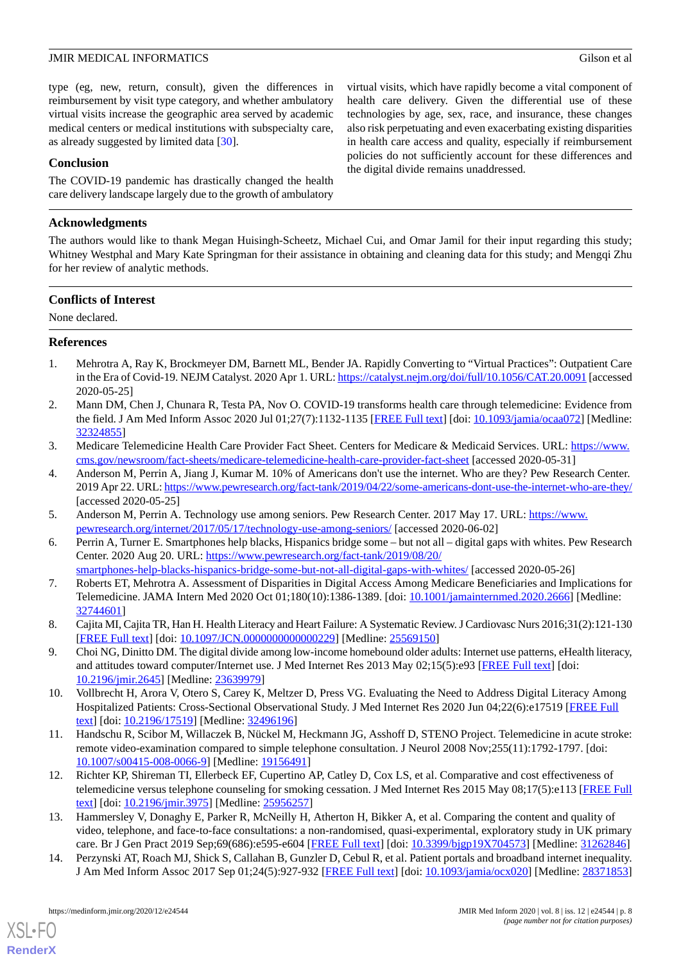type (eg, new, return, consult), given the differences in reimbursement by visit type category, and whether ambulatory virtual visits increase the geographic area served by academic medical centers or medical institutions with subspecialty care, as already suggested by limited data [\[30](#page-8-12)].

# **Conclusion**

The COVID-19 pandemic has drastically changed the health care delivery landscape largely due to the growth of ambulatory

# **Acknowledgments**

The authors would like to thank Megan Huisingh-Scheetz, Michael Cui, and Omar Jamil for their input regarding this study; Whitney Westphal and Mary Kate Springman for their assistance in obtaining and cleaning data for this study; and Mengqi Zhu for her review of analytic methods.

# **Conflicts of Interest**

<span id="page-7-0"></span>None declared.

# **References**

- <span id="page-7-1"></span>1. Mehrotra A, Ray K, Brockmeyer DM, Barnett ML, Bender JA. Rapidly Converting to "Virtual Practices": Outpatient Care in the Era of Covid-19. NEJM Catalyst. 2020 Apr 1. URL:<https://catalyst.nejm.org/doi/full/10.1056/CAT.20.0091> [accessed 2020-05-25]
- <span id="page-7-2"></span>2. Mann DM, Chen J, Chunara R, Testa PA, Nov O. COVID-19 transforms health care through telemedicine: Evidence from the field. J Am Med Inform Assoc 2020 Jul 01;27(7):1132-1135 [\[FREE Full text](http://europepmc.org/abstract/MED/32324855)] [doi: [10.1093/jamia/ocaa072\]](http://dx.doi.org/10.1093/jamia/ocaa072) [Medline: [32324855](http://www.ncbi.nlm.nih.gov/entrez/query.fcgi?cmd=Retrieve&db=PubMed&list_uids=32324855&dopt=Abstract)]
- <span id="page-7-3"></span>3. Medicare Telemedicine Health Care Provider Fact Sheet. Centers for Medicare & Medicaid Services. URL: [https://www.](https://www.cms.gov/newsroom/fact-sheets/medicare-telemedicine-health-care-provider-fact-sheet) [cms.gov/newsroom/fact-sheets/medicare-telemedicine-health-care-provider-fact-sheet](https://www.cms.gov/newsroom/fact-sheets/medicare-telemedicine-health-care-provider-fact-sheet) [accessed 2020-05-31]
- <span id="page-7-5"></span><span id="page-7-4"></span>4. Anderson M, Perrin A, Jiang J, Kumar M. 10% of Americans don't use the internet. Who are they? Pew Research Center. 2019 Apr 22. URL:<https://www.pewresearch.org/fact-tank/2019/04/22/some-americans-dont-use-the-internet-who-are-they/> [accessed 2020-05-25]
- <span id="page-7-6"></span>5. Anderson M, Perrin A. Technology use among seniors. Pew Research Center. 2017 May 17. URL: [https://www.](https://www.pewresearch.org/internet/2017/05/17/technology-use-among-seniors/) [pewresearch.org/internet/2017/05/17/technology-use-among-seniors/](https://www.pewresearch.org/internet/2017/05/17/technology-use-among-seniors/) [accessed 2020-06-02]
- 6. Perrin A, Turner E. Smartphones help blacks, Hispanics bridge some but not all digital gaps with whites. Pew Research Center. 2020 Aug 20. URL: [https://www.pewresearch.org/fact-tank/2019/08/20/](https://www.pewresearch.org/fact-tank/2019/08/20/smartphones-help-blacks-hispanics-bridge-some-but-not-all-digital-gaps-with-whites/) [smartphones-help-blacks-hispanics-bridge-some-but-not-all-digital-gaps-with-whites/](https://www.pewresearch.org/fact-tank/2019/08/20/smartphones-help-blacks-hispanics-bridge-some-but-not-all-digital-gaps-with-whites/) [accessed 2020-05-26]
- <span id="page-7-12"></span><span id="page-7-7"></span>7. Roberts ET, Mehrotra A. Assessment of Disparities in Digital Access Among Medicare Beneficiaries and Implications for Telemedicine. JAMA Intern Med 2020 Oct 01;180(10):1386-1389. [doi: [10.1001/jamainternmed.2020.2666](http://dx.doi.org/10.1001/jamainternmed.2020.2666)] [Medline: [32744601](http://www.ncbi.nlm.nih.gov/entrez/query.fcgi?cmd=Retrieve&db=PubMed&list_uids=32744601&dopt=Abstract)]
- <span id="page-7-8"></span>8. Cajita MI, Cajita TR, Han H. Health Literacy and Heart Failure: A Systematic Review. J Cardiovasc Nurs 2016;31(2):121-130 [[FREE Full text](http://europepmc.org/abstract/MED/25569150)] [doi: [10.1097/JCN.0000000000000229](http://dx.doi.org/10.1097/JCN.0000000000000229)] [Medline: [25569150\]](http://www.ncbi.nlm.nih.gov/entrez/query.fcgi?cmd=Retrieve&db=PubMed&list_uids=25569150&dopt=Abstract)
- <span id="page-7-9"></span>9. Choi NG, Dinitto DM. The digital divide among low-income homebound older adults: Internet use patterns, eHealth literacy, and attitudes toward computer/Internet use. J Med Internet Res 2013 May 02;15(5):e93 [\[FREE Full text\]](https://www.jmir.org/2013/5/e93/) [doi: [10.2196/jmir.2645](http://dx.doi.org/10.2196/jmir.2645)] [Medline: [23639979](http://www.ncbi.nlm.nih.gov/entrez/query.fcgi?cmd=Retrieve&db=PubMed&list_uids=23639979&dopt=Abstract)]
- 10. Vollbrecht H, Arora V, Otero S, Carey K, Meltzer D, Press VG. Evaluating the Need to Address Digital Literacy Among Hospitalized Patients: Cross-Sectional Observational Study. J Med Internet Res 2020 Jun 04;22(6):e17519 [[FREE Full](https://www.jmir.org/2020/6/e17519/) [text](https://www.jmir.org/2020/6/e17519/)] [doi: [10.2196/17519\]](http://dx.doi.org/10.2196/17519) [Medline: [32496196\]](http://www.ncbi.nlm.nih.gov/entrez/query.fcgi?cmd=Retrieve&db=PubMed&list_uids=32496196&dopt=Abstract)
- <span id="page-7-10"></span>11. Handschu R, Scibor M, Willaczek B, Nückel M, Heckmann JG, Asshoff D, STENO Project. Telemedicine in acute stroke: remote video-examination compared to simple telephone consultation. J Neurol 2008 Nov;255(11):1792-1797. [doi: [10.1007/s00415-008-0066-9\]](http://dx.doi.org/10.1007/s00415-008-0066-9) [Medline: [19156491](http://www.ncbi.nlm.nih.gov/entrez/query.fcgi?cmd=Retrieve&db=PubMed&list_uids=19156491&dopt=Abstract)]
- <span id="page-7-11"></span>12. Richter KP, Shireman TI, Ellerbeck EF, Cupertino AP, Catley D, Cox LS, et al. Comparative and cost effectiveness of telemedicine versus telephone counseling for smoking cessation. J Med Internet Res 2015 May 08;17(5):e113 [[FREE Full](https://www.jmir.org/2015/5/e113/) [text](https://www.jmir.org/2015/5/e113/)] [doi: [10.2196/jmir.3975](http://dx.doi.org/10.2196/jmir.3975)] [Medline: [25956257](http://www.ncbi.nlm.nih.gov/entrez/query.fcgi?cmd=Retrieve&db=PubMed&list_uids=25956257&dopt=Abstract)]
- 13. Hammersley V, Donaghy E, Parker R, McNeilly H, Atherton H, Bikker A, et al. Comparing the content and quality of video, telephone, and face-to-face consultations: a non-randomised, quasi-experimental, exploratory study in UK primary care. Br J Gen Pract 2019 Sep;69(686):e595-e604 [\[FREE Full text](https://bjgp.org/cgi/pmidlookup?view=long&pmid=31262846)] [doi: [10.3399/bjgp19X704573\]](http://dx.doi.org/10.3399/bjgp19X704573) [Medline: [31262846\]](http://www.ncbi.nlm.nih.gov/entrez/query.fcgi?cmd=Retrieve&db=PubMed&list_uids=31262846&dopt=Abstract)
- 14. Perzynski AT, Roach MJ, Shick S, Callahan B, Gunzler D, Cebul R, et al. Patient portals and broadband internet inequality. J Am Med Inform Assoc 2017 Sep 01;24(5):927-932 [\[FREE Full text\]](http://europepmc.org/abstract/MED/28371853) [doi: [10.1093/jamia/ocx020\]](http://dx.doi.org/10.1093/jamia/ocx020) [Medline: [28371853](http://www.ncbi.nlm.nih.gov/entrez/query.fcgi?cmd=Retrieve&db=PubMed&list_uids=28371853&dopt=Abstract)]

[XSL](http://www.w3.org/Style/XSL)•FO **[RenderX](http://www.renderx.com/)**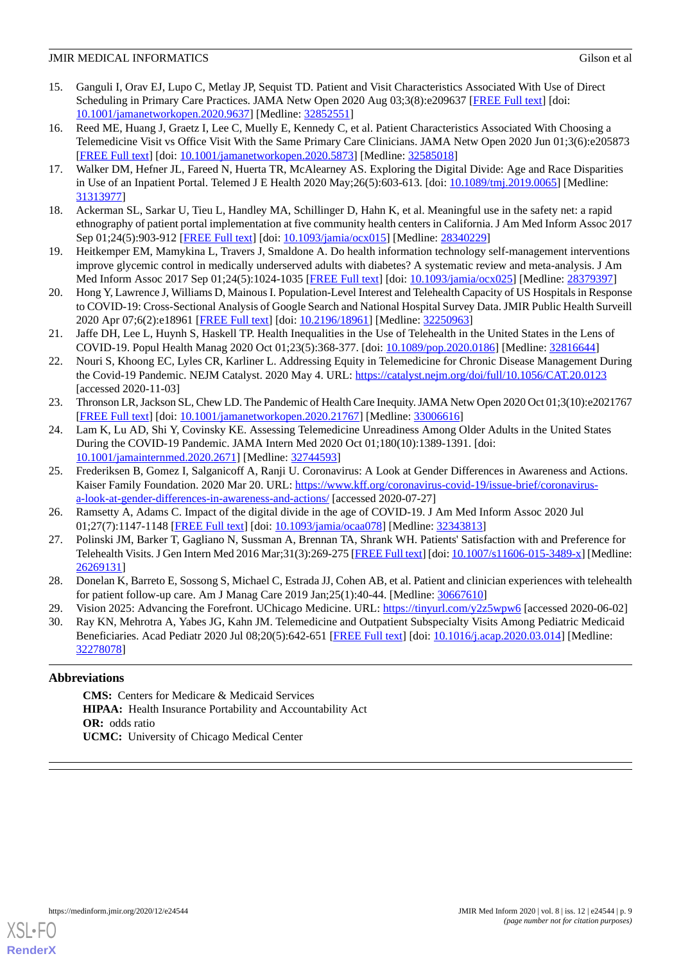- <span id="page-8-0"></span>15. Ganguli I, Orav EJ, Lupo C, Metlay JP, Sequist TD. Patient and Visit Characteristics Associated With Use of Direct Scheduling in Primary Care Practices. JAMA Netw Open 2020 Aug 03;3(8):e209637 [[FREE Full text](https://jamanetwork.com/journals/jamanetworkopen/fullarticle/10.1001/jamanetworkopen.2020.9637)] [doi: [10.1001/jamanetworkopen.2020.9637](http://dx.doi.org/10.1001/jamanetworkopen.2020.9637)] [Medline: [32852551](http://www.ncbi.nlm.nih.gov/entrez/query.fcgi?cmd=Retrieve&db=PubMed&list_uids=32852551&dopt=Abstract)]
- 16. Reed ME, Huang J, Graetz I, Lee C, Muelly E, Kennedy C, et al. Patient Characteristics Associated With Choosing a Telemedicine Visit vs Office Visit With the Same Primary Care Clinicians. JAMA Netw Open 2020 Jun 01;3(6):e205873 [[FREE Full text](https://jamanetwork.com/journals/jamanetworkopen/fullarticle/10.1001/jamanetworkopen.2020.5873)] [doi: [10.1001/jamanetworkopen.2020.5873](http://dx.doi.org/10.1001/jamanetworkopen.2020.5873)] [Medline: [32585018\]](http://www.ncbi.nlm.nih.gov/entrez/query.fcgi?cmd=Retrieve&db=PubMed&list_uids=32585018&dopt=Abstract)
- <span id="page-8-1"></span>17. Walker DM, Hefner JL, Fareed N, Huerta TR, McAlearney AS. Exploring the Digital Divide: Age and Race Disparities in Use of an Inpatient Portal. Telemed J E Health 2020 May;26(5):603-613. [doi: [10.1089/tmj.2019.0065\]](http://dx.doi.org/10.1089/tmj.2019.0065) [Medline: [31313977](http://www.ncbi.nlm.nih.gov/entrez/query.fcgi?cmd=Retrieve&db=PubMed&list_uids=31313977&dopt=Abstract)]
- <span id="page-8-2"></span>18. Ackerman SL, Sarkar U, Tieu L, Handley MA, Schillinger D, Hahn K, et al. Meaningful use in the safety net: a rapid ethnography of patient portal implementation at five community health centers in California. J Am Med Inform Assoc 2017 Sep 01;24(5):903-912 [\[FREE Full text\]](http://europepmc.org/abstract/MED/28340229) [doi: [10.1093/jamia/ocx015\]](http://dx.doi.org/10.1093/jamia/ocx015) [Medline: [28340229\]](http://www.ncbi.nlm.nih.gov/entrez/query.fcgi?cmd=Retrieve&db=PubMed&list_uids=28340229&dopt=Abstract)
- <span id="page-8-3"></span>19. Heitkemper EM, Mamykina L, Travers J, Smaldone A. Do health information technology self-management interventions improve glycemic control in medically underserved adults with diabetes? A systematic review and meta-analysis. J Am Med Inform Assoc 2017 Sep 01;24(5):1024-1035 [[FREE Full text](http://europepmc.org/abstract/MED/28379397)] [doi: [10.1093/jamia/ocx025](http://dx.doi.org/10.1093/jamia/ocx025)] [Medline: [28379397](http://www.ncbi.nlm.nih.gov/entrez/query.fcgi?cmd=Retrieve&db=PubMed&list_uids=28379397&dopt=Abstract)]
- <span id="page-8-4"></span>20. Hong Y, Lawrence J, Williams D, Mainous I. Population-Level Interest and Telehealth Capacity of US Hospitals in Response to COVID-19: Cross-Sectional Analysis of Google Search and National Hospital Survey Data. JMIR Public Health Surveill 2020 Apr 07;6(2):e18961 [[FREE Full text\]](https://publichealth.jmir.org/2020/2/e18961/) [doi: [10.2196/18961](http://dx.doi.org/10.2196/18961)] [Medline: [32250963](http://www.ncbi.nlm.nih.gov/entrez/query.fcgi?cmd=Retrieve&db=PubMed&list_uids=32250963&dopt=Abstract)]
- 21. Jaffe DH, Lee L, Huynh S, Haskell TP. Health Inequalities in the Use of Telehealth in the United States in the Lens of COVID-19. Popul Health Manag 2020 Oct 01;23(5):368-377. [doi: [10.1089/pop.2020.0186\]](http://dx.doi.org/10.1089/pop.2020.0186) [Medline: [32816644\]](http://www.ncbi.nlm.nih.gov/entrez/query.fcgi?cmd=Retrieve&db=PubMed&list_uids=32816644&dopt=Abstract)
- <span id="page-8-5"></span>22. Nouri S, Khoong EC, Lyles CR, Karliner L. Addressing Equity in Telemedicine for Chronic Disease Management During the Covid-19 Pandemic. NEJM Catalyst. 2020 May 4. URL: <https://catalyst.nejm.org/doi/full/10.1056/CAT.20.0123> [accessed 2020-11-03]
- <span id="page-8-6"></span>23. Thronson LR, Jackson SL, Chew LD. The Pandemic of Health Care Inequity. JAMA Netw Open 2020 Oct 01;3(10):e2021767 [[FREE Full text](https://jamanetwork.com/journals/jamanetworkopen/fullarticle/10.1001/jamanetworkopen.2020.21767)] [doi: [10.1001/jamanetworkopen.2020.21767](http://dx.doi.org/10.1001/jamanetworkopen.2020.21767)] [Medline: [33006616\]](http://www.ncbi.nlm.nih.gov/entrez/query.fcgi?cmd=Retrieve&db=PubMed&list_uids=33006616&dopt=Abstract)
- <span id="page-8-7"></span>24. Lam K, Lu AD, Shi Y, Covinsky KE. Assessing Telemedicine Unreadiness Among Older Adults in the United States During the COVID-19 Pandemic. JAMA Intern Med 2020 Oct 01;180(10):1389-1391. [doi: [10.1001/jamainternmed.2020.2671\]](http://dx.doi.org/10.1001/jamainternmed.2020.2671) [Medline: [32744593\]](http://www.ncbi.nlm.nih.gov/entrez/query.fcgi?cmd=Retrieve&db=PubMed&list_uids=32744593&dopt=Abstract)
- <span id="page-8-9"></span><span id="page-8-8"></span>25. Frederiksen B, Gomez I, Salganicoff A, Ranji U. Coronavirus: A Look at Gender Differences in Awareness and Actions. Kaiser Family Foundation. 2020 Mar 20. URL: [https://www.kff.org/coronavirus-covid-19/issue-brief/coronavirus](https://www.kff.org/coronavirus-covid-19/issue-brief/coronavirus-a-look-at-gender-differences-in-awareness-and-actions/)[a-look-at-gender-differences-in-awareness-and-actions/](https://www.kff.org/coronavirus-covid-19/issue-brief/coronavirus-a-look-at-gender-differences-in-awareness-and-actions/) [accessed 2020-07-27]
- <span id="page-8-10"></span>26. Ramsetty A, Adams C. Impact of the digital divide in the age of COVID-19. J Am Med Inform Assoc 2020 Jul 01;27(7):1147-1148 [[FREE Full text](http://europepmc.org/abstract/MED/32343813)] [doi: [10.1093/jamia/ocaa078](http://dx.doi.org/10.1093/jamia/ocaa078)] [Medline: [32343813\]](http://www.ncbi.nlm.nih.gov/entrez/query.fcgi?cmd=Retrieve&db=PubMed&list_uids=32343813&dopt=Abstract)
- <span id="page-8-11"></span>27. Polinski JM, Barker T, Gagliano N, Sussman A, Brennan TA, Shrank WH. Patients' Satisfaction with and Preference for Telehealth Visits. J Gen Intern Med 2016 Mar;31(3):269-275 [\[FREE Full text](http://europepmc.org/abstract/MED/26269131)] [doi: [10.1007/s11606-015-3489-x](http://dx.doi.org/10.1007/s11606-015-3489-x)] [Medline: [26269131](http://www.ncbi.nlm.nih.gov/entrez/query.fcgi?cmd=Retrieve&db=PubMed&list_uids=26269131&dopt=Abstract)]
- <span id="page-8-12"></span>28. Donelan K, Barreto E, Sossong S, Michael C, Estrada JJ, Cohen AB, et al. Patient and clinician experiences with telehealth for patient follow-up care. Am J Manag Care 2019 Jan;25(1):40-44. [Medline: [30667610\]](http://www.ncbi.nlm.nih.gov/entrez/query.fcgi?cmd=Retrieve&db=PubMed&list_uids=30667610&dopt=Abstract)
- 29. Vision 2025: Advancing the Forefront. UChicago Medicine. URL: <https://tinyurl.com/y2z5wpw6> [accessed 2020-06-02]
- 30. Ray KN, Mehrotra A, Yabes JG, Kahn JM. Telemedicine and Outpatient Subspecialty Visits Among Pediatric Medicaid Beneficiaries. Acad Pediatr 2020 Jul 08;20(5):642-651 [[FREE Full text\]](http://europepmc.org/abstract/MED/32278078) [doi: [10.1016/j.acap.2020.03.014\]](http://dx.doi.org/10.1016/j.acap.2020.03.014) [Medline: [32278078](http://www.ncbi.nlm.nih.gov/entrez/query.fcgi?cmd=Retrieve&db=PubMed&list_uids=32278078&dopt=Abstract)]

# **Abbreviations**

**CMS:** Centers for Medicare & Medicaid Services **HIPAA:** Health Insurance Portability and Accountability Act **OR:** odds ratio **UCMC:** University of Chicago Medical Center